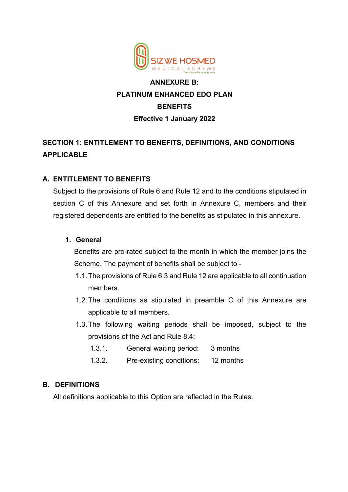

# **ANNEXURE B: PLATINUM ENHANCED EDO PLAN BENEFITS Effective 1 January 2022**

# **SECTION 1: ENTITLEMENT TO BENEFITS, DEFINITIONS, AND CONDITIONS APPLICABLE**

# **A. ENTITLEMENT TO BENEFITS**

Subject to the provisions of Rule 6 and Rule 12 and to the conditions stipulated in section C of this Annexure and set forth in Annexure C, members and their registered dependents are entitled to the benefits as stipulated in this annexure.

### **1. General**

Benefits are pro-rated subject to the month in which the member joins the Scheme. The payment of benefits shall be subject to -

- 1.1.The provisions of Rule 6.3 and Rule 12 are applicable to all continuation members.
- 1.2.The conditions as stipulated in preamble C of this Annexure are applicable to all members.
- 1.3.The following waiting periods shall be imposed, subject to the provisions of the Act and Rule 8.4:
	- 1.3.1. General waiting period: 3 months
	- 1.3.2. Pre-existing conditions: 12 months

# **B. DEFINITIONS**

All definitions applicable to this Option are reflected in the Rules.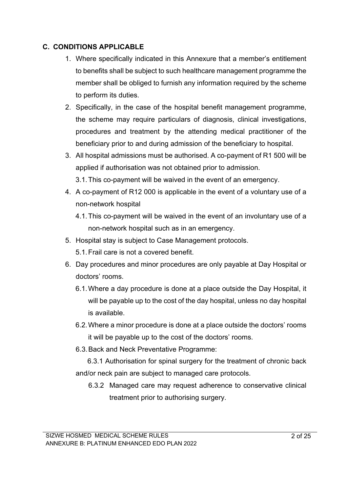# **C. CONDITIONS APPLICABLE**

- 1. Where specifically indicated in this Annexure that a member's entitlement to benefits shall be subject to such healthcare management programme the member shall be obliged to furnish any information required by the scheme to perform its duties.
- 2. Specifically, in the case of the hospital benefit management programme, the scheme may require particulars of diagnosis, clinical investigations, procedures and treatment by the attending medical practitioner of the beneficiary prior to and during admission of the beneficiary to hospital.
- 3. All hospital admissions must be authorised. A co-payment of R1 500 will be applied if authorisation was not obtained prior to admission.
	- 3.1.This co-payment will be waived in the event of an emergency.
- 4. A co-payment of R12 000 is applicable in the event of a voluntary use of a non-network hospital
	- 4.1.This co-payment will be waived in the event of an involuntary use of a non-network hospital such as in an emergency.
- 5. Hospital stay is subject to Case Management protocols. 5.1.Frail care is not a covered benefit.
- 6. Day procedures and minor procedures are only payable at Day Hospital or doctors' rooms.
	- 6.1.Where a day procedure is done at a place outside the Day Hospital, it will be payable up to the cost of the day hospital, unless no day hospital is available.
	- 6.2.Where a minor procedure is done at a place outside the doctors' rooms it will be payable up to the cost of the doctors' rooms.
	- 6.3.Back and Neck Preventative Programme:
	- 6.3.1 Authorisation for spinal surgery for the treatment of chronic back and/or neck pain are subject to managed care protocols.
		- 6.3.2 Managed care may request adherence to conservative clinical treatment prior to authorising surgery.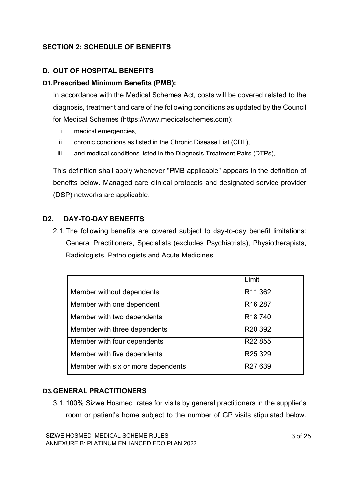# **SECTION 2: SCHEDULE OF BENEFITS**

## **D. OUT OF HOSPITAL BENEFITS**

### **D1.Prescribed Minimum Benefits (PMB):**

In accordance with the Medical Schemes Act, costs will be covered related to the diagnosis, treatment and care of the following conditions as updated by the Council for Medical Schemes (https://www.medicalschemes.com):

- i. medical emergencies,
- ii. chronic conditions as listed in the Chronic Disease List (CDL),
- iii. and medical conditions listed in the Diagnosis Treatment Pairs (DTPs),.

This definition shall apply whenever "PMB applicable" appears in the definition of benefits below. Managed care clinical protocols and designated service provider (DSP) networks are applicable.

# **D2. DAY-TO-DAY BENEFITS**

2.1.The following benefits are covered subject to day-to-day benefit limitations: General Practitioners, Specialists (excludes Psychiatrists), Physiotherapists, Radiologists, Pathologists and Acute Medicines

|                                    | Limit               |
|------------------------------------|---------------------|
| Member without dependents          | R <sub>11</sub> 362 |
| Member with one dependent          | R <sub>16</sub> 287 |
| Member with two dependents         | R <sub>18</sub> 740 |
| Member with three dependents       | R <sub>20</sub> 392 |
| Member with four dependents        | R22 855             |
| Member with five dependents        | R <sub>25</sub> 329 |
| Member with six or more dependents | R27 639             |

### **D3.GENERAL PRACTITIONERS**

3.1.100% Sizwe Hosmed rates for visits by general practitioners in the supplier's room or patient's home subject to the number of GP visits stipulated below.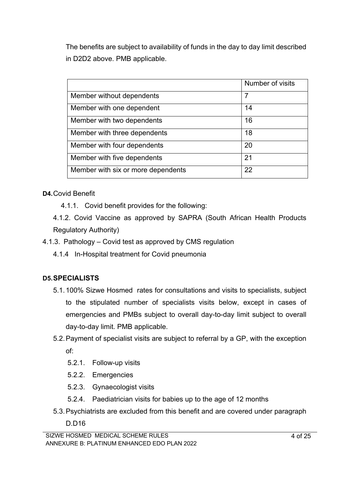The benefits are subject to availability of funds in the day to day limit described in D2D2 above. PMB applicable.

|                                    | Number of visits |
|------------------------------------|------------------|
| Member without dependents          | 7                |
| Member with one dependent          | 14               |
| Member with two dependents         | 16               |
| Member with three dependents       | 18               |
| Member with four dependents        | 20               |
| Member with five dependents        | 21               |
| Member with six or more dependents | 22               |

## **D4.**Covid Benefit

4.1.1. Covid benefit provides for the following:

4.1.2. Covid Vaccine as approved by SAPRA (South African Health Products Regulatory Authority)

- 4.1.3. Pathology Covid test as approved by CMS regulation
	- 4.1.4 In-Hospital treatment for Covid pneumonia

# **D5.SPECIALISTS**

- 5.1.100% Sizwe Hosmed rates for consultations and visits to specialists, subject to the stipulated number of specialists visits below, except in cases of emergencies and PMBs subject to overall day-to-day limit subject to overall day-to-day limit. PMB applicable.
- 5.2.Payment of specialist visits are subject to referral by a GP, with the exception of:
	- 5.2.1. Follow-up visits
	- 5.2.2. Emergencies
	- 5.2.3. Gynaecologist visits
	- 5.2.4. Paediatrician visits for babies up to the age of 12 months
- 5.3.Psychiatrists are excluded from this benefit and are covered under paragraph
	- D.D16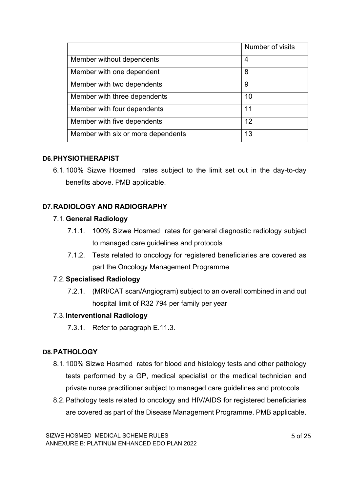|                                    | Number of visits |
|------------------------------------|------------------|
| Member without dependents          | 4                |
| Member with one dependent          | 8                |
| Member with two dependents         | 9                |
| Member with three dependents       | 10               |
| Member with four dependents        | 11               |
| Member with five dependents        | 12               |
| Member with six or more dependents | 13               |

## **D6.PHYSIOTHERAPIST**

6.1.100% Sizwe Hosmed rates subject to the limit set out in the day-to-day benefits above. PMB applicable.

# **D7.RADIOLOGY AND RADIOGRAPHY**

# 7.1.**General Radiology**

- 7.1.1. 100% Sizwe Hosmed rates for general diagnostic radiology subject to managed care guidelines and protocols
- 7.1.2. Tests related to oncology for registered beneficiaries are covered as part the Oncology Management Programme

# 7.2.**Specialised Radiology**

7.2.1. (MRI/CAT scan/Angiogram) subject to an overall combined in and out hospital limit of R32 794 per family per year

# 7.3.**Interventional Radiology**

7.3.1. Refer to paragraph E.11.3.

# **D8.PATHOLOGY**

- 8.1.100% Sizwe Hosmed rates for blood and histology tests and other pathology tests performed by a GP, medical specialist or the medical technician and private nurse practitioner subject to managed care guidelines and protocols
- 8.2.Pathology tests related to oncology and HIV/AIDS for registered beneficiaries are covered as part of the Disease Management Programme. PMB applicable.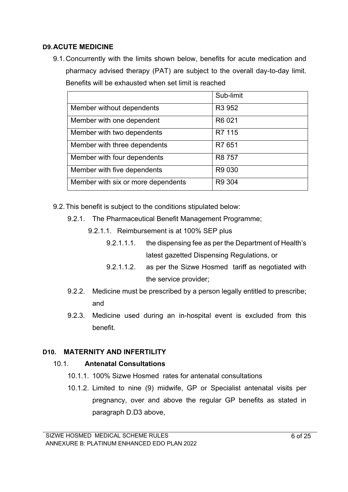### **D9.ACUTE MEDICINE**

9.1.Concurrently with the limits shown below, benefits for acute medication and pharmacy advised therapy (PAT) are subject to the overall day-to-day limit. Benefits will be exhausted when set limit is reached

|                                    | Sub-limit          |
|------------------------------------|--------------------|
| Member without dependents          | R <sub>3</sub> 952 |
| Member with one dependent          | R6 021             |
| Member with two dependents         | R7 115             |
| Member with three dependents       | R7 651             |
| Member with four dependents        | R8 757             |
| Member with five dependents        | R9 030             |
| Member with six or more dependents | R9 304             |

9.2.This benefit is subject to the conditions stipulated below:

- 9.2.1. The Pharmaceutical Benefit Management Programme;
	- 9.2.1.1. Reimbursement is at 100% SEP plus
		- 9.2.1.1.1. the dispensing fee as per the Department of Health's latest gazetted Dispensing Regulations, or
		- 9.2.1.1.2. as per the Sizwe Hosmed tariff as negotiated with the service provider;
- 9.2.2. Medicine must be prescribed by a person legally entitled to prescribe; and
- 9.2.3. Medicine used during an in-hospital event is excluded from this benefit.

### **D10. MATERNITY AND INFERTILITY**

### 10.1. **Antenatal Consultations**

- 10.1.1. 100% Sizwe Hosmed rates for antenatal consultations
- 10.1.2. Limited to nine (9) midwife, GP or Specialist antenatal visits per pregnancy, over and above the regular GP benefits as stated in paragraph D.D3 above,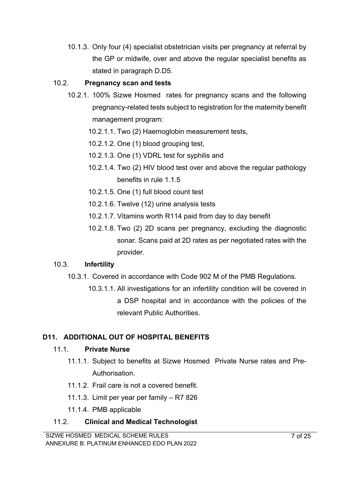10.1.3. Only four (4) specialist obstetrician visits per pregnancy at referral by the GP or midwife, over and above the regular specialist benefits as stated in paragraph D.D5.

## 10.2. **Pregnancy scan and tests**

- 10.2.1. 100% Sizwe Hosmed rates for pregnancy scans and the following pregnancy-related tests subject to registration for the maternity benefit management program:
	- 10.2.1.1. Two (2) Haemoglobin measurement tests,
	- 10.2.1.2. One (1) blood grouping test,
	- 10.2.1.3. One (1) VDRL test for syphilis and
	- 10.2.1.4. Two (2) HIV blood test over and above the regular pathology benefits in rule 1.1.5
	- 10.2.1.5. One (1) full blood count test
	- 10.2.1.6. Twelve (12) urine analysis tests
	- 10.2.1.7. Vitamins worth R114 paid from day to day benefit
	- 10.2.1.8. Two (2) 2D scans per pregnancy, excluding the diagnostic sonar. Scans paid at 2D rates as per negotiated rates with the provider.

### 10.3. **Infertility**

- 10.3.1. Covered in accordance with Code 902 M of the PMB Regulations.
	- 10.3.1.1. All investigations for an infertility condition will be covered in a DSP hospital and in accordance with the policies of the relevant Public Authorities.

# **D11. ADDITIONAL OUT OF HOSPITAL BENEFITS**

### 11.1. **Private Nurse**

- 11.1.1. Subject to benefits at Sizwe Hosmed Private Nurse rates and Pre-Authorisation.
- 11.1.2. Frail care is not a covered benefit.
- 11.1.3. Limit per year per family R7 826
- 11.1.4. PMB applicable

# 11.2. **Clinical and Medical Technologist**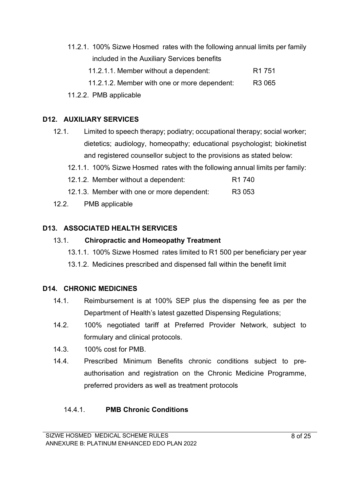- 11.2.1. 100% Sizwe Hosmed rates with the following annual limits per family included in the Auxiliary Services benefits 11.2.1.1. Member without a dependent: R1 751 11.2.1.2. Member with one or more dependent: R3 065
- 11.2.2. PMB applicable

#### **D12. AUXILIARY SERVICES**

- 12.1. Limited to speech therapy; podiatry; occupational therapy; social worker; dietetics; audiology, homeopathy; educational psychologist; biokinetist and registered counsellor subject to the provisions as stated below:
	- 12.1.1. 100% Sizwe Hosmed rates with the following annual limits per family:
	- 12.1.2. Member without a dependent: R1 740
	- 12.1.3. Member with one or more dependent: R3 053
- 12.2. PMB applicable

### **D13. ASSOCIATED HEALTH SERVICES**

#### 13.1. **Chiropractic and Homeopathy Treatment**

- 13.1.1. 100% Sizwe Hosmed rates limited to R1 500 per beneficiary per year
- 13.1.2. Medicines prescribed and dispensed fall within the benefit limit

#### **D14. CHRONIC MEDICINES**

- 14.1. Reimbursement is at 100% SEP plus the dispensing fee as per the Department of Health's latest gazetted Dispensing Regulations;
- 14.2. 100% negotiated tariff at Preferred Provider Network, subject to formulary and clinical protocols.
- 14.3. 100% cost for PMB.
- 14.4. Prescribed Minimum Benefits chronic conditions subject to preauthorisation and registration on the Chronic Medicine Programme, preferred providers as well as treatment protocols

### 14.4.1. **PMB Chronic Conditions**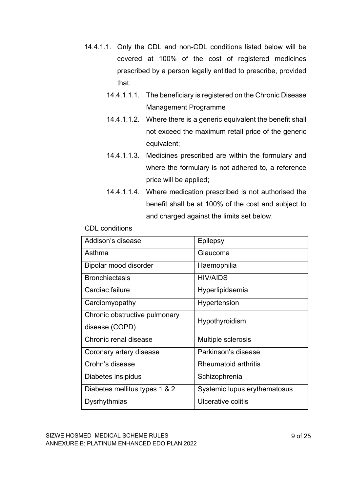- 14.4.1.1. Only the CDL and non-CDL conditions listed below will be covered at 100% of the cost of registered medicines prescribed by a person legally entitled to prescribe, provided that:
	- 14.4.1.1.1. The beneficiary is registered on the Chronic Disease Management Programme
	- 14.4.1.1.2. Where there is a generic equivalent the benefit shall not exceed the maximum retail price of the generic equivalent;
	- 14.4.1.1.3. Medicines prescribed are within the formulary and where the formulary is not adhered to, a reference price will be applied;
	- 14.4.1.1.4. Where medication prescribed is not authorised the benefit shall be at 100% of the cost and subject to and charged against the limits set below.

| Addison's disease             | <b>Epilepsy</b>              |  |
|-------------------------------|------------------------------|--|
| Asthma                        | Glaucoma                     |  |
| Bipolar mood disorder         | Haemophilia                  |  |
| <b>Bronchiectasis</b>         | <b>HIV/AIDS</b>              |  |
| Cardiac failure               | Hyperlipidaemia              |  |
| Cardiomyopathy                | Hypertension                 |  |
| Chronic obstructive pulmonary | Hypothyroidism               |  |
| disease (COPD)                |                              |  |
| Chronic renal disease         | Multiple sclerosis           |  |
| Coronary artery disease       | Parkinson's disease          |  |
| Crohn's disease               | Rheumatoid arthritis         |  |
| Diabetes insipidus            | Schizophrenia                |  |
| Diabetes mellitus types 1 & 2 | Systemic lupus erythematosus |  |
| Dysrhythmias                  | Ulcerative colitis           |  |

#### CDL conditions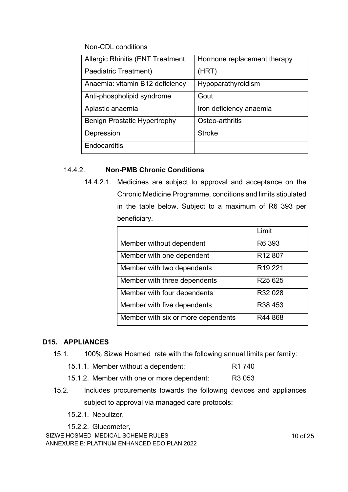Non-CDL conditions

| Allergic Rhinitis (ENT Treatment, | Hormone replacement therapy |
|-----------------------------------|-----------------------------|
| Paediatric Treatment)             | (HRT)                       |
| Anaemia: vitamin B12 deficiency   | Hypoparathyroidism          |
| Anti-phospholipid syndrome        | Gout                        |
| Aplastic anaemia                  | Iron deficiency anaemia     |
| Benign Prostatic Hypertrophy      | Osteo-arthritis             |
| Depression                        | <b>Stroke</b>               |
| Endocarditis                      |                             |

## 14.4.2. **Non-PMB Chronic Conditions**

14.4.2.1. Medicines are subject to approval and acceptance on the Chronic Medicine Programme, conditions and limits stipulated in the table below. Subject to a maximum of R6 393 per beneficiary.

|                                    | Limit                           |
|------------------------------------|---------------------------------|
| Member without dependent           | R6 393                          |
| Member with one dependent          | R <sub>12</sub> 807             |
| Member with two dependents         | R <sub>19</sub> 221             |
| Member with three dependents       | R <sub>25</sub> 6 <sub>25</sub> |
| Member with four dependents        | R32 028                         |
| Member with five dependents        | R38 453                         |
| Member with six or more dependents | R44 868                         |

### **D15. APPLIANCES**

- 15.1. 100% Sizwe Hosmed rate with the following annual limits per family:
	- 15.1.1. Member without a dependent: R1 740
	- 15.1.2. Member with one or more dependent: R3 053
- 15.2. Includes procurements towards the following devices and appliances subject to approval via managed care protocols:
	- 15.2.1. Nebulizer,

15.2.2. Glucometer,

SIZWE HOSMED MEDICAL SCHEME RULES ANNEXURE B: PLATINUM ENHANCED EDO PLAN 2022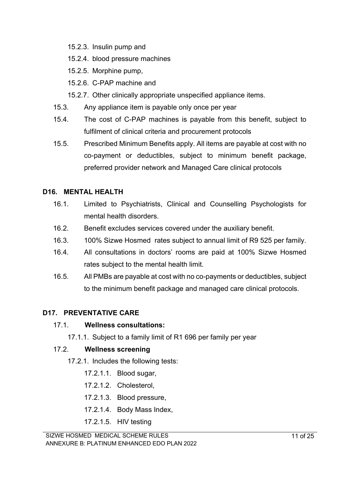- 15.2.3. Insulin pump and
- 15.2.4. blood pressure machines
- 15.2.5. Morphine pump,
- 15.2.6. C-PAP machine and
- 15.2.7. Other clinically appropriate unspecified appliance items.
- 15.3. Any appliance item is payable only once per year
- 15.4. The cost of C-PAP machines is payable from this benefit, subject to fulfilment of clinical criteria and procurement protocols
- 15.5. Prescribed Minimum Benefits apply. All items are payable at cost with no co-payment or deductibles, subject to minimum benefit package, preferred provider network and Managed Care clinical protocols

## **D16. MENTAL HEALTH**

- 16.1. Limited to Psychiatrists, Clinical and Counselling Psychologists for mental health disorders.
- 16.2. Benefit excludes services covered under the auxiliary benefit.
- 16.3. 100% Sizwe Hosmed rates subject to annual limit of R9 525 per family.
- 16.4. All consultations in doctors' rooms are paid at 100% Sizwe Hosmed rates subject to the mental health limit.
- 16.5. All PMBs are payable at cost with no co-payments or deductibles, subject to the minimum benefit package and managed care clinical protocols.

### **D17. PREVENTATIVE CARE**

### 17.1. **Wellness consultations:**

17.1.1. Subject to a family limit of R1 696 per family per year

### 17.2. **Wellness screening**

- 17.2.1. Includes the following tests:
	- 17.2.1.1. Blood sugar,
	- 17.2.1.2. Cholesterol,
	- 17.2.1.3. Blood pressure,
	- 17.2.1.4. Body Mass Index,
	- 17.2.1.5. HIV testing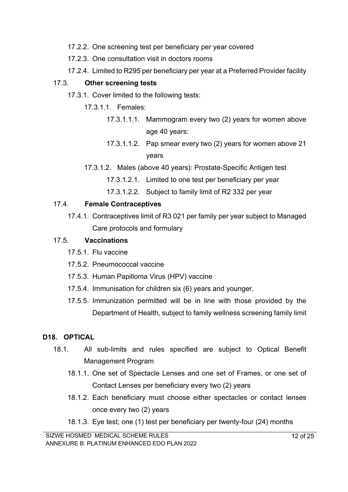- 17.2.2. One screening test per beneficiary per year covered
- 17.2.3. One consultation visit in doctors rooms
- 17.2.4. Limited to R295 per beneficiary per year at a Preferred Provider facility

## 17.3. **Other screening tests**

- 17.3.1. Cover limited to the following tests:
	- 17.3.1.1. Females:
		- 17.3.1.1.1. Mammogram every two (2) years for women above age 40 years:
		- 17.3.1.1.2. Pap smear every two (2) years for women above 21 years
	- 17.3.1.2. Males (above 40 years): Prostate-Specific Antigen test
		- 17.3.1.2.1. Limited to one test per beneficiary per year
		- 17.3.1.2.2. Subject to family limit of R2 332 per year

## 17.4. **Female Contraceptives**

17.4.1. Contraceptives limit of R3 021 per family per year subject to Managed Care protocols and formulary

## 17.5. **Vaccinations**

- 17.5.1. Flu vaccine
- 17.5.2. Pneumococcal vaccine
- 17.5.3. Human Papilloma Virus (HPV) vaccine
- 17.5.4. Immunisation for children six (6) years and younger,
- 17.5.5. Immunization permitted will be in line with those provided by the Department of Health, subject to family wellness screening family limit

# **D18. OPTICAL**

- 18.1. All sub-limits and rules specified are subject to Optical Benefit Management Program
	- 18.1.1. One set of Spectacle Lenses and one set of Frames, or one set of Contact Lenses per beneficiary every two (2) years
	- 18.1.2. Each beneficiary must choose either spectacles or contact lenses once every two (2) years
	- 18.1.3. Eye test; one (1) test per beneficiary per twenty-four (24) months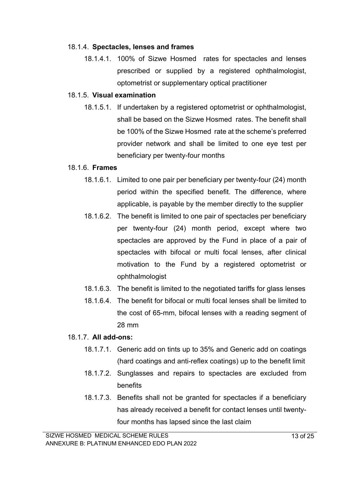#### 18.1.4. **Spectacles, lenses and frames**

18.1.4.1. 100% of Sizwe Hosmed rates for spectacles and lenses prescribed or supplied by a registered ophthalmologist, optometrist or supplementary optical practitioner

#### 18.1.5. **Visual examination**

18.1.5.1. If undertaken by a registered optometrist or ophthalmologist, shall be based on the Sizwe Hosmed rates. The benefit shall be 100% of the Sizwe Hosmed rate at the scheme's preferred provider network and shall be limited to one eye test per beneficiary per twenty-four months

#### 18.1.6. **Frames**

- 18.1.6.1. Limited to one pair per beneficiary per twenty-four (24) month period within the specified benefit. The difference, where applicable, is payable by the member directly to the supplier
- 18.1.6.2. The benefit is limited to one pair of spectacles per beneficiary per twenty-four (24) month period, except where two spectacles are approved by the Fund in place of a pair of spectacles with bifocal or multi focal lenses, after clinical motivation to the Fund by a registered optometrist or ophthalmologist
- 18.1.6.3. The benefit is limited to the negotiated tariffs for glass lenses
- 18.1.6.4. The benefit for bifocal or multi focal lenses shall be limited to the cost of 65-mm, bifocal lenses with a reading segment of 28 mm

### 18.1.7. **All add-ons:**

- 18.1.7.1. Generic add on tints up to 35% and Generic add on coatings (hard coatings and anti-reflex coatings) up to the benefit limit
- 18.1.7.2. Sunglasses and repairs to spectacles are excluded from benefits
- 18.1.7.3. Benefits shall not be granted for spectacles if a beneficiary has already received a benefit for contact lenses until twentyfour months has lapsed since the last claim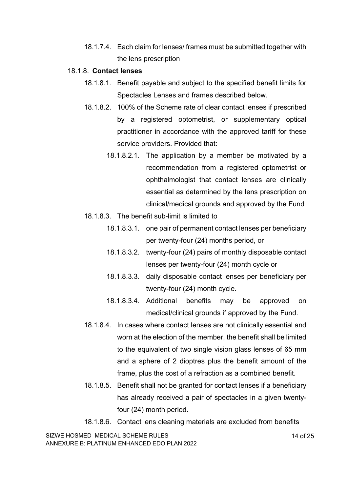18.1.7.4. Each claim for lenses/ frames must be submitted together with the lens prescription

#### 18.1.8. **Contact lenses**

- 18.1.8.1. Benefit payable and subject to the specified benefit limits for Spectacles Lenses and frames described below.
- 18.1.8.2. 100% of the Scheme rate of clear contact lenses if prescribed by a registered optometrist, or supplementary optical practitioner in accordance with the approved tariff for these service providers. Provided that:
	- 18.1.8.2.1. The application by a member be motivated by a recommendation from a registered optometrist or ophthalmologist that contact lenses are clinically essential as determined by the lens prescription on clinical/medical grounds and approved by the Fund
- 18.1.8.3. The benefit sub-limit is limited to
	- 18.1.8.3.1. one pair of permanent contact lenses per beneficiary per twenty-four (24) months period, or
	- 18.1.8.3.2. twenty-four (24) pairs of monthly disposable contact lenses per twenty-four (24) month cycle or
	- 18.1.8.3.3. daily disposable contact lenses per beneficiary per twenty-four (24) month cycle.
	- 18.1.8.3.4. Additional benefits may be approved on medical/clinical grounds if approved by the Fund.
- 18.1.8.4. In cases where contact lenses are not clinically essential and worn at the election of the member, the benefit shall be limited to the equivalent of two single vision glass lenses of 65 mm and a sphere of 2 dioptres plus the benefit amount of the frame, plus the cost of a refraction as a combined benefit.
- 18.1.8.5. Benefit shall not be granted for contact lenses if a beneficiary has already received a pair of spectacles in a given twentyfour (24) month period.
- 18.1.8.6. Contact lens cleaning materials are excluded from benefits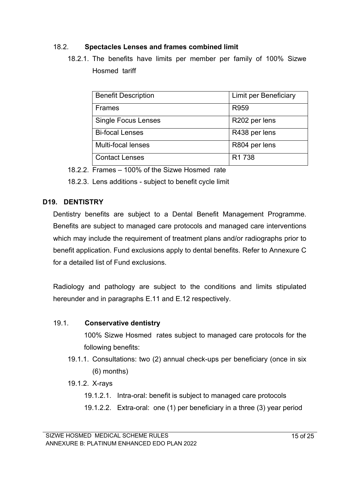## 18.2. **Spectacles Lenses and frames combined limit**

18.2.1. The benefits have limits per member per family of 100% Sizwe Hosmed tariff

| <b>Benefit Description</b> | <b>Limit per Beneficiary</b> |
|----------------------------|------------------------------|
| <b>Frames</b>              | R959                         |
| <b>Single Focus Lenses</b> | R202 per lens                |
| <b>Bi-focal Lenses</b>     | R438 per lens                |
| Multi-focal lenses         | R804 per lens                |
| <b>Contact Lenses</b>      | R <sub>1</sub> 738           |

18.2.2. Frames – 100% of the Sizwe Hosmed rate

18.2.3. Lens additions - subject to benefit cycle limit

## **D19. DENTISTRY**

Dentistry benefits are subject to a Dental Benefit Management Programme. Benefits are subject to managed care protocols and managed care interventions which may include the requirement of treatment plans and/or radiographs prior to benefit application. Fund exclusions apply to dental benefits. Refer to Annexure C for a detailed list of Fund exclusions.

Radiology and pathology are subject to the conditions and limits stipulated hereunder and in paragraphs E.11 and E.12 respectively.

### 19.1. **Conservative dentistry**

100% Sizwe Hosmed rates subject to managed care protocols for the following benefits:

- 19.1.1. Consultations: two (2) annual check-ups per beneficiary (once in six (6) months)
- 19.1.2. X-rays
	- 19.1.2.1. Intra-oral: benefit is subject to managed care protocols
	- 19.1.2.2. Extra-oral: one (1) per beneficiary in a three (3) year period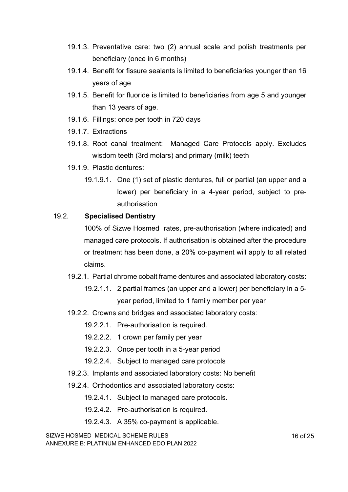- 19.1.3. Preventative care: two (2) annual scale and polish treatments per beneficiary (once in 6 months)
- 19.1.4. Benefit for fissure sealants is limited to beneficiaries younger than 16 years of age
- 19.1.5. Benefit for fluoride is limited to beneficiaries from age 5 and younger than 13 years of age.
- 19.1.6. Fillings: once per tooth in 720 days
- 19.1.7. Extractions
- 19.1.8. Root canal treatment: Managed Care Protocols apply. Excludes wisdom teeth (3rd molars) and primary (milk) teeth
- 19.1.9. Plastic dentures:
	- 19.1.9.1. One (1) set of plastic dentures, full or partial (an upper and a lower) per beneficiary in a 4-year period, subject to preauthorisation

# 19.2. **Specialised Dentistry**

100% of Sizwe Hosmed rates, pre-authorisation (where indicated) and managed care protocols. If authorisation is obtained after the procedure or treatment has been done, a 20% co-payment will apply to all related claims.

- 19.2.1. Partial chrome cobalt frame dentures and associated laboratory costs:
	- 19.2.1.1. 2 partial frames (an upper and a lower) per beneficiary in a 5 year period, limited to 1 family member per year
- 19.2.2. Crowns and bridges and associated laboratory costs:
	- 19.2.2.1. Pre-authorisation is required.
	- 19.2.2.2. 1 crown per family per year
	- 19.2.2.3. Once per tooth in a 5-year period
	- 19.2.2.4. Subject to managed care protocols
- 19.2.3. Implants and associated laboratory costs: No benefit
- 19.2.4. Orthodontics and associated laboratory costs:
	- 19.2.4.1. Subject to managed care protocols.
	- 19.2.4.2. Pre-authorisation is required.
	- 19.2.4.3. A 35% co-payment is applicable.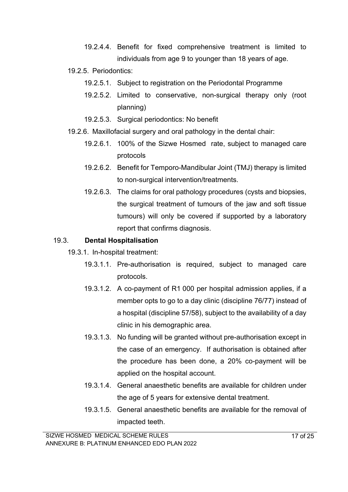- 19.2.4.4. Benefit for fixed comprehensive treatment is limited to individuals from age 9 to younger than 18 years of age.
- 19.2.5. Periodontics:
	- 19.2.5.1. Subject to registration on the Periodontal Programme
	- 19.2.5.2. Limited to conservative, non-surgical therapy only (root planning)
	- 19.2.5.3. Surgical periodontics: No benefit
- 19.2.6. Maxillofacial surgery and oral pathology in the dental chair:
	- 19.2.6.1. 100% of the Sizwe Hosmed rate, subject to managed care protocols
	- 19.2.6.2. Benefit for Temporo-Mandibular Joint (TMJ) therapy is limited to non-surgical intervention/treatments.
	- 19.2.6.3. The claims for oral pathology procedures (cysts and biopsies, the surgical treatment of tumours of the jaw and soft tissue tumours) will only be covered if supported by a laboratory report that confirms diagnosis.

## 19.3. **Dental Hospitalisation**

- 19.3.1. In-hospital treatment:
	- 19.3.1.1. Pre-authorisation is required, subject to managed care protocols.
	- 19.3.1.2. A co-payment of R1 000 per hospital admission applies, if a member opts to go to a day clinic (discipline 76/77) instead of a hospital (discipline 57/58), subject to the availability of a day clinic in his demographic area.
	- 19.3.1.3. No funding will be granted without pre-authorisation except in the case of an emergency. If authorisation is obtained after the procedure has been done, a 20% co-payment will be applied on the hospital account.
	- 19.3.1.4. General anaesthetic benefits are available for children under the age of 5 years for extensive dental treatment.
	- 19.3.1.5. General anaesthetic benefits are available for the removal of impacted teeth.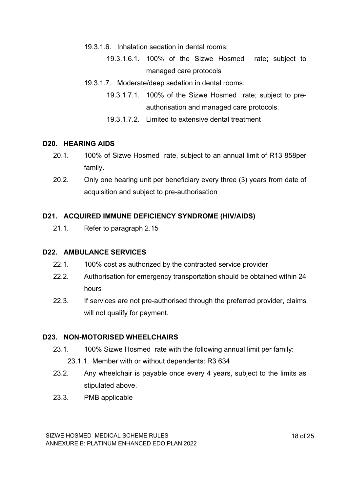- 19.3.1.6. Inhalation sedation in dental rooms:
	- 19.3.1.6.1. 100% of the Sizwe Hosmed rate; subject to managed care protocols
- 19.3.1.7. Moderate/deep sedation in dental rooms:
	- 19.3.1.7.1. 100% of the Sizwe Hosmed rate; subject to preauthorisation and managed care protocols.
	- 19.3.1.7.2. Limited to extensive dental treatment

### **D20. HEARING AIDS**

- 20.1. 100% of Sizwe Hosmed rate, subject to an annual limit of R13 858per family.
- 20.2. Only one hearing unit per beneficiary every three (3) years from date of acquisition and subject to pre-authorisation

### **D21. ACQUIRED IMMUNE DEFICIENCY SYNDROME (HIV/AIDS)**

21.1. Refer to paragraph 2.15

#### **D22. AMBULANCE SERVICES**

- 22.1. 100% cost as authorized by the contracted service provider
- 22.2. Authorisation for emergency transportation should be obtained within 24 hours
- 22.3. If services are not pre-authorised through the preferred provider, claims will not qualify for payment.

### **D23. NON-MOTORISED WHEELCHAIRS**

- 23.1. 100% Sizwe Hosmed rate with the following annual limit per family:
	- 23.1.1. Member with or without dependents: R3 634
- 23.2. Any wheelchair is payable once every 4 years, subject to the limits as stipulated above.
- 23.3. PMB applicable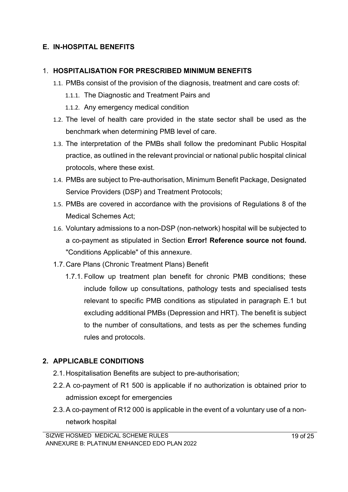# **E. IN-HOSPITAL BENEFITS**

### 1. **HOSPITALISATION FOR PRESCRIBED MINIMUM BENEFITS**

- 1.1. PMBs consist of the provision of the diagnosis, treatment and care costs of:
	- 1.1.1. The Diagnostic and Treatment Pairs and
	- 1.1.2. Any emergency medical condition
- 1.2. The level of health care provided in the state sector shall be used as the benchmark when determining PMB level of care.
- 1.3. The interpretation of the PMBs shall follow the predominant Public Hospital practice, as outlined in the relevant provincial or national public hospital clinical protocols, where these exist.
- 1.4. PMBs are subject to Pre-authorisation, Minimum Benefit Package, Designated Service Providers (DSP) and Treatment Protocols;
- 1.5. PMBs are covered in accordance with the provisions of Regulations 8 of the Medical Schemes Act;
- 1.6. Voluntary admissions to a non-DSP (non-network) hospital will be subjected to a co-payment as stipulated in Section **Error! Reference source not found.** "Conditions Applicable" of this annexure.
- 1.7.Care Plans (Chronic Treatment Plans) Benefit
	- 1.7.1. Follow up treatment plan benefit for chronic PMB conditions; these include follow up consultations, pathology tests and specialised tests relevant to specific PMB conditions as stipulated in paragraph E.1 but excluding additional PMBs (Depression and HRT). The benefit is subject to the number of consultations, and tests as per the schemes funding rules and protocols.

# **2. APPLICABLE CONDITIONS**

- 2.1.Hospitalisation Benefits are subject to pre-authorisation;
- 2.2.A co-payment of R1 500 is applicable if no authorization is obtained prior to admission except for emergencies
- 2.3.A co-payment of R12 000 is applicable in the event of a voluntary use of a nonnetwork hospital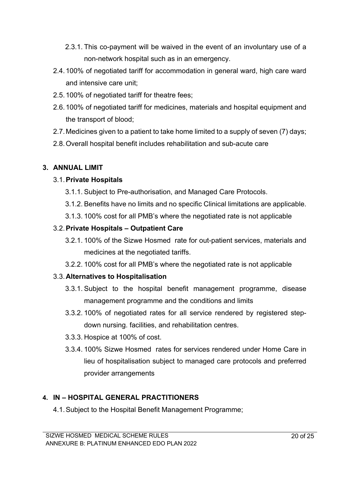- 2.3.1. This co-payment will be waived in the event of an involuntary use of a non-network hospital such as in an emergency.
- 2.4.100% of negotiated tariff for accommodation in general ward, high care ward and intensive care unit;
- 2.5.100% of negotiated tariff for theatre fees;
- 2.6.100% of negotiated tariff for medicines, materials and hospital equipment and the transport of blood;
- 2.7.Medicines given to a patient to take home limited to a supply of seven (7) days;
- 2.8.Overall hospital benefit includes rehabilitation and sub-acute care

# **3. ANNUAL LIMIT**

# 3.1.**Private Hospitals**

- 3.1.1. Subject to Pre-authorisation, and Managed Care Protocols.
- 3.1.2. Benefits have no limits and no specific Clinical limitations are applicable.
- 3.1.3. 100% cost for all PMB's where the negotiated rate is not applicable

# 3.2.**Private Hospitals – Outpatient Care**

- 3.2.1. 100% of the Sizwe Hosmed rate for out-patient services, materials and medicines at the negotiated tariffs.
- 3.2.2. 100% cost for all PMB's where the negotiated rate is not applicable

# 3.3.**Alternatives to Hospitalisation**

- 3.3.1. Subject to the hospital benefit management programme, disease management programme and the conditions and limits
- 3.3.2. 100% of negotiated rates for all service rendered by registered stepdown nursing. facilities, and rehabilitation centres.
- 3.3.3. Hospice at 100% of cost.
- 3.3.4. 100% Sizwe Hosmed rates for services rendered under Home Care in lieu of hospitalisation subject to managed care protocols and preferred provider arrangements

# **4. IN – HOSPITAL GENERAL PRACTITIONERS**

4.1.Subject to the Hospital Benefit Management Programme;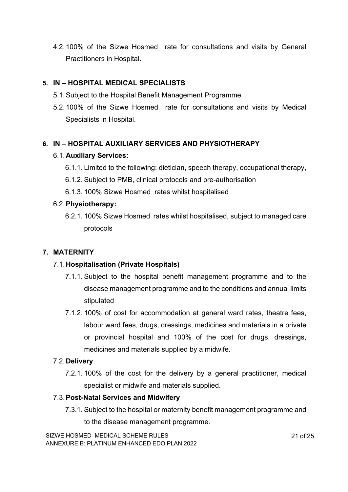4.2.100% of the Sizwe Hosmed rate for consultations and visits by General Practitioners in Hospital.

# **5. IN – HOSPITAL MEDICAL SPECIALISTS**

- 5.1.Subject to the Hospital Benefit Management Programme
- 5.2.100% of the Sizwe Hosmed rate for consultations and visits by Medical Specialists in Hospital.

# **6. IN – HOSPITAL AUXILIARY SERVICES AND PHYSIOTHERAPY**

# 6.1.**Auxiliary Services:**

- 6.1.1. Limited to the following: dietician, speech therapy, occupational therapy,
- 6.1.2. Subject to PMB, clinical protocols and pre-authorisation
- 6.1.3. 100% Sizwe Hosmed rates whilst hospitalised

# 6.2.**Physiotherapy:**

6.2.1. 100% Sizwe Hosmed rates whilst hospitalised, subject to managed care protocols

# **7. MATERNITY**

# 7.1.**Hospitalisation (Private Hospitals)**

- 7.1.1. Subject to the hospital benefit management programme and to the disease management programme and to the conditions and annual limits stipulated
- 7.1.2. 100% of cost for accommodation at general ward rates, theatre fees, labour ward fees, drugs, dressings, medicines and materials in a private or provincial hospital and 100% of the cost for drugs, dressings, medicines and materials supplied by a midwife.

# 7.2.**Delivery**

7.2.1. 100% of the cost for the delivery by a general practitioner, medical specialist or midwife and materials supplied.

# 7.3.**Post-Natal Services and Midwifery**

7.3.1. Subject to the hospital or maternity benefit management programme and to the disease management programme.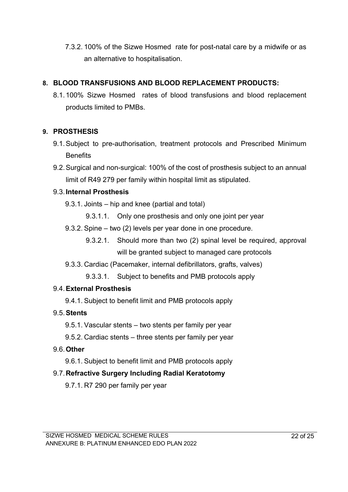7.3.2. 100% of the Sizwe Hosmed rate for post-natal care by a midwife or as an alternative to hospitalisation.

# **8. BLOOD TRANSFUSIONS AND BLOOD REPLACEMENT PRODUCTS:**

8.1.100% Sizwe Hosmed rates of blood transfusions and blood replacement products limited to PMBs.

# **9. PROSTHESIS**

- 9.1.Subject to pre-authorisation, treatment protocols and Prescribed Minimum **Benefits**
- 9.2.Surgical and non-surgical: 100% of the cost of prosthesis subject to an annual limit of R49 279 per family within hospital limit as stipulated.

# 9.3.**Internal Prosthesis**

- 9.3.1. Joints hip and knee (partial and total)
	- 9.3.1.1. Only one prosthesis and only one joint per year
- 9.3.2. Spine two (2) levels per year done in one procedure.
	- 9.3.2.1. Should more than two (2) spinal level be required, approval will be granted subject to managed care protocols
- 9.3.3. Cardiac (Pacemaker, internal defibrillators, grafts, valves)

9.3.3.1. Subject to benefits and PMB protocols apply

# 9.4.**External Prosthesis**

9.4.1. Subject to benefit limit and PMB protocols apply

# 9.5.**Stents**

- 9.5.1. Vascular stents two stents per family per year
- 9.5.2. Cardiac stents three stents per family per year

# 9.6.**Other**

9.6.1. Subject to benefit limit and PMB protocols apply

# 9.7.**Refractive Surgery Including Radial Keratotomy**

9.7.1. R7 290 per family per year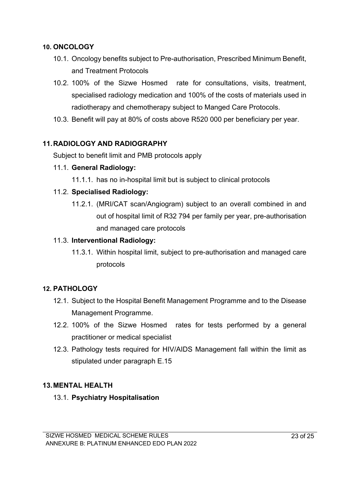### **10. ONCOLOGY**

- 10.1. Oncology benefits subject to Pre-authorisation, Prescribed Minimum Benefit, and Treatment Protocols
- 10.2. 100% of the Sizwe Hosmed rate for consultations, visits, treatment, specialised radiology medication and 100% of the costs of materials used in radiotherapy and chemotherapy subject to Manged Care Protocols.
- 10.3. Benefit will pay at 80% of costs above R520 000 per beneficiary per year.

# **11.RADIOLOGY AND RADIOGRAPHY**

Subject to benefit limit and PMB protocols apply

### 11.1. **General Radiology:**

11.1.1. has no in-hospital limit but is subject to clinical protocols

## 11.2. **Specialised Radiology:**

11.2.1. (MRI/CAT scan/Angiogram) subject to an overall combined in and out of hospital limit of R32 794 per family per year, pre-authorisation and managed care protocols

### 11.3. **Interventional Radiology:**

11.3.1. Within hospital limit, subject to pre-authorisation and managed care protocols

# **12. PATHOLOGY**

- 12.1. Subject to the Hospital Benefit Management Programme and to the Disease Management Programme.
- 12.2. 100% of the Sizwe Hosmed rates for tests performed by a general practitioner or medical specialist
- 12.3. Pathology tests required for HIV/AIDS Management fall within the limit as stipulated under paragraph E.15

### **13.MENTAL HEALTH**

13.1. **Psychiatry Hospitalisation**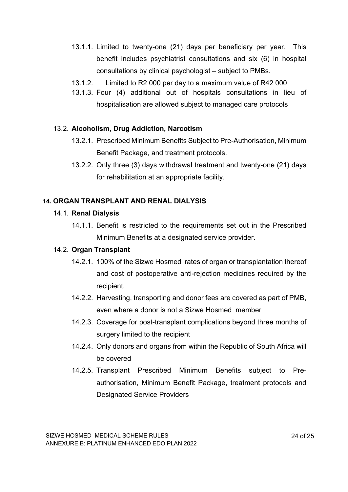- 13.1.1. Limited to twenty-one (21) days per beneficiary per year. This benefit includes psychiatrist consultations and six (6) in hospital consultations by clinical psychologist – subject to PMBs.
- 13.1.2. Limited to R2 000 per day to a maximum value of R42 000
- 13.1.3. Four (4) additional out of hospitals consultations in lieu of hospitalisation are allowed subject to managed care protocols

## 13.2. **Alcoholism, Drug Addiction, Narcotism**

- 13.2.1. Prescribed Minimum Benefits Subject to Pre-Authorisation, Minimum Benefit Package, and treatment protocols.
- 13.2.2. Only three (3) days withdrawal treatment and twenty-one (21) days for rehabilitation at an appropriate facility.

## **14. ORGAN TRANSPLANT AND RENAL DIALYSIS**

### 14.1. **Renal Dialysis**

14.1.1. Benefit is restricted to the requirements set out in the Prescribed Minimum Benefits at a designated service provider.

### 14.2. **Organ Transplant**

- 14.2.1. 100% of the Sizwe Hosmed rates of organ or transplantation thereof and cost of postoperative anti-rejection medicines required by the recipient.
- 14.2.2. Harvesting, transporting and donor fees are covered as part of PMB, even where a donor is not a Sizwe Hosmed member
- 14.2.3. Coverage for post-transplant complications beyond three months of surgery limited to the recipient
- 14.2.4. Only donors and organs from within the Republic of South Africa will be covered
- 14.2.5. Transplant Prescribed Minimum Benefits subject to Preauthorisation, Minimum Benefit Package, treatment protocols and Designated Service Providers